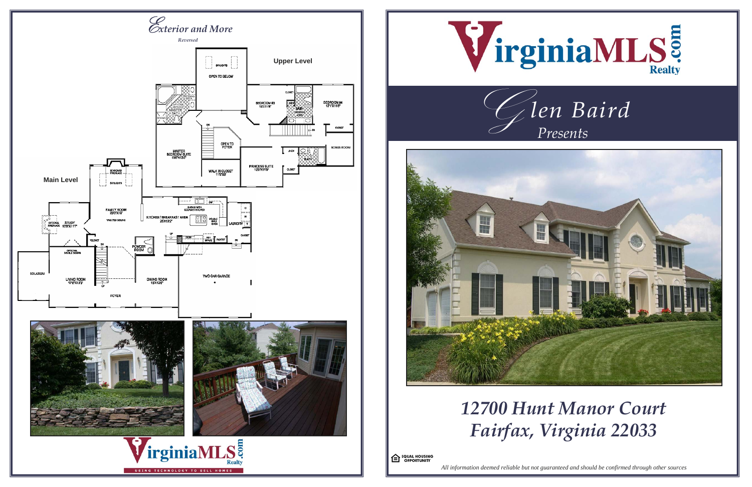

*All information deemed reliable but not guaranteed and should be confirmed through other sources*

# *12700 Hunt Manor Court Fairfax, Virginia 22033*

<sup>C</sup> <sup>LQUAL HOUSING</sup>